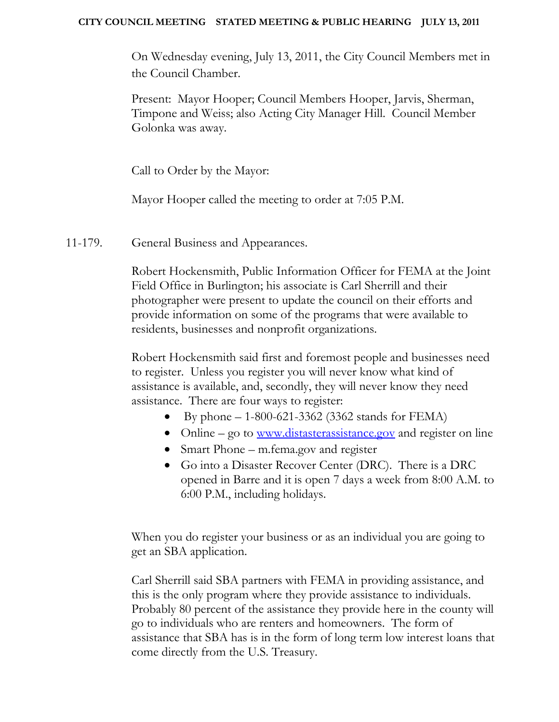### **CITY COUNCIL MEETING STATED MEETING & PUBLIC HEARING JULY 13, 2011**

On Wednesday evening, July 13, 2011, the City Council Members met in the Council Chamber.

Present: Mayor Hooper; Council Members Hooper, Jarvis, Sherman, Timpone and Weiss; also Acting City Manager Hill. Council Member Golonka was away.

Call to Order by the Mayor:

Mayor Hooper called the meeting to order at 7:05 P.M.

11-179. General Business and Appearances.

Robert Hockensmith, Public Information Officer for FEMA at the Joint Field Office in Burlington; his associate is Carl Sherrill and their photographer were present to update the council on their efforts and provide information on some of the programs that were available to residents, businesses and nonprofit organizations.

Robert Hockensmith said first and foremost people and businesses need to register. Unless you register you will never know what kind of assistance is available, and, secondly, they will never know they need assistance. There are four ways to register:

- By phone  $1-800-621-3362$  (3362 stands for FEMA)
- Online go to [www.distasterassistance.gov](http://www.distasterassistance.gov/) and register on line
- Smart Phone m.fema.gov and register
- Go into a Disaster Recover Center (DRC). There is a DRC opened in Barre and it is open 7 days a week from 8:00 A.M. to 6:00 P.M., including holidays.

When you do register your business or as an individual you are going to get an SBA application.

Carl Sherrill said SBA partners with FEMA in providing assistance, and this is the only program where they provide assistance to individuals. Probably 80 percent of the assistance they provide here in the county will go to individuals who are renters and homeowners. The form of assistance that SBA has is in the form of long term low interest loans that come directly from the U.S. Treasury.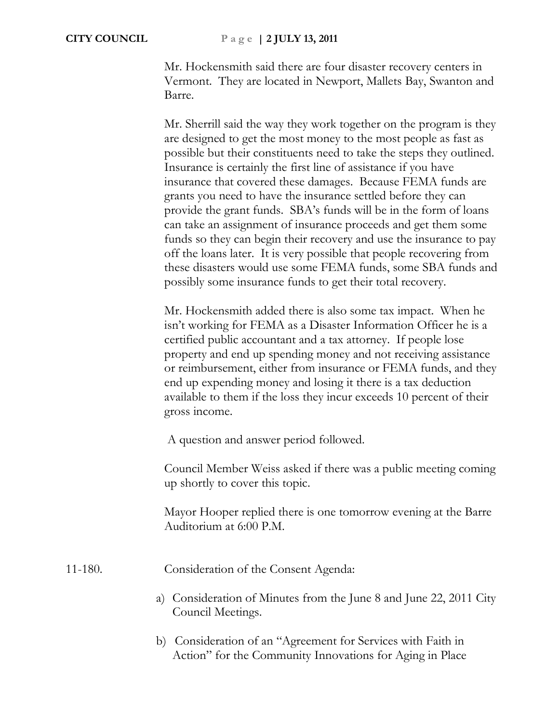Mr. Hockensmith said there are four disaster recovery centers in Vermont. They are located in Newport, Mallets Bay, Swanton and Barre.

Mr. Sherrill said the way they work together on the program is they are designed to get the most money to the most people as fast as possible but their constituents need to take the steps they outlined. Insurance is certainly the first line of assistance if you have insurance that covered these damages. Because FEMA funds are grants you need to have the insurance settled before they can provide the grant funds. SBA's funds will be in the form of loans can take an assignment of insurance proceeds and get them some funds so they can begin their recovery and use the insurance to pay off the loans later. It is very possible that people recovering from these disasters would use some FEMA funds, some SBA funds and possibly some insurance funds to get their total recovery.

Mr. Hockensmith added there is also some tax impact. When he isn't working for FEMA as a Disaster Information Officer he is a certified public accountant and a tax attorney. If people lose property and end up spending money and not receiving assistance or reimbursement, either from insurance or FEMA funds, and they end up expending money and losing it there is a tax deduction available to them if the loss they incur exceeds 10 percent of their gross income.

A question and answer period followed.

Council Member Weiss asked if there was a public meeting coming up shortly to cover this topic.

Mayor Hooper replied there is one tomorrow evening at the Barre Auditorium at 6:00 P.M.

11-180. Consideration of the Consent Agenda:

- a) Consideration of Minutes from the June 8 and June 22, 2011 City Council Meetings.
- b) Consideration of an "Agreement for Services with Faith in Action" for the Community Innovations for Aging in Place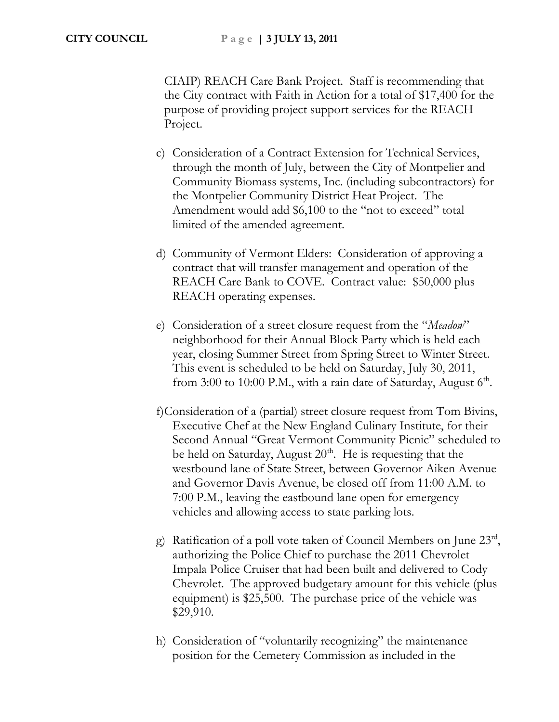CIAIP) REACH Care Bank Project. Staff is recommending that the City contract with Faith in Action for a total of \$17,400 for the purpose of providing project support services for the REACH Project.

- c) Consideration of a Contract Extension for Technical Services, through the month of July, between the City of Montpelier and Community Biomass systems, Inc. (including subcontractors) for the Montpelier Community District Heat Project. The Amendment would add \$6,100 to the "not to exceed" total limited of the amended agreement.
- d) Community of Vermont Elders: Consideration of approving a contract that will transfer management and operation of the REACH Care Bank to COVE. Contract value: \$50,000 plus REACH operating expenses.
- e) Consideration of a street closure request from the "*Meadow*" neighborhood for their Annual Block Party which is held each year, closing Summer Street from Spring Street to Winter Street. This event is scheduled to be held on Saturday, July 30, 2011, from 3:00 to 10:00 P.M., with a rain date of Saturday, August  $6<sup>th</sup>$ .
- f)Consideration of a (partial) street closure request from Tom Bivins, Executive Chef at the New England Culinary Institute, for their Second Annual "Great Vermont Community Picnic" scheduled to be held on Saturday, August  $20<sup>th</sup>$ . He is requesting that the westbound lane of State Street, between Governor Aiken Avenue and Governor Davis Avenue, be closed off from 11:00 A.M. to 7:00 P.M., leaving the eastbound lane open for emergency vehicles and allowing access to state parking lots.
- g) Ratification of a poll vote taken of Council Members on June  $23<sup>rd</sup>$ , authorizing the Police Chief to purchase the 2011 Chevrolet Impala Police Cruiser that had been built and delivered to Cody Chevrolet. The approved budgetary amount for this vehicle (plus equipment) is \$25,500. The purchase price of the vehicle was \$29,910.
- h) Consideration of "voluntarily recognizing" the maintenance position for the Cemetery Commission as included in the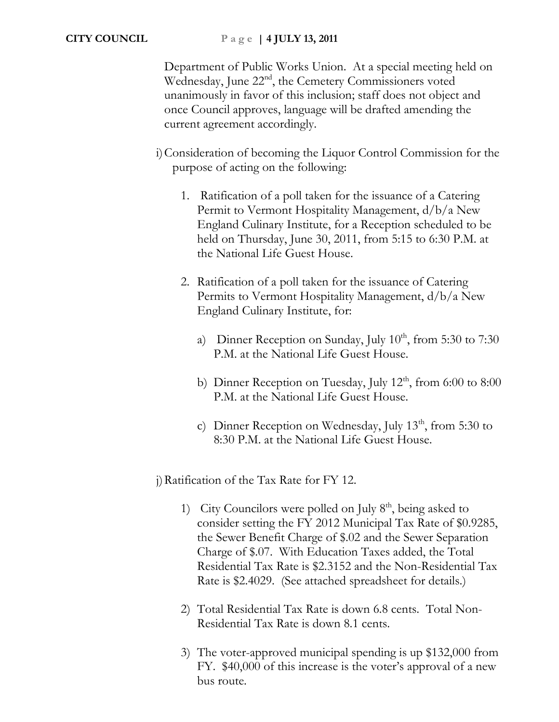Department of Public Works Union. At a special meeting held on Wednesday, June 22<sup>nd</sup>, the Cemetery Commissioners voted unanimously in favor of this inclusion; staff does not object and once Council approves, language will be drafted amending the current agreement accordingly.

- i)Consideration of becoming the Liquor Control Commission for the purpose of acting on the following:
	- 1. Ratification of a poll taken for the issuance of a Catering Permit to Vermont Hospitality Management, d/b/a New England Culinary Institute, for a Reception scheduled to be held on Thursday, June 30, 2011, from 5:15 to 6:30 P.M. at the National Life Guest House.
	- 2. Ratification of a poll taken for the issuance of Catering Permits to Vermont Hospitality Management, d/b/a New England Culinary Institute, for:
		- a) Dinner Reception on Sunday, July  $10^{th}$ , from 5:30 to 7:30 P.M. at the National Life Guest House.
		- b) Dinner Reception on Tuesday, July  $12<sup>th</sup>$ , from 6:00 to 8:00 P.M. at the National Life Guest House.
		- c) Dinner Reception on Wednesday, July  $13<sup>th</sup>$ , from 5:30 to 8:30 P.M. at the National Life Guest House.

j)Ratification of the Tax Rate for FY 12.

- 1) City Councilors were polled on July  $8<sup>th</sup>$ , being asked to consider setting the FY 2012 Municipal Tax Rate of \$0.9285, the Sewer Benefit Charge of \$.02 and the Sewer Separation Charge of \$.07. With Education Taxes added, the Total Residential Tax Rate is \$2.3152 and the Non-Residential Tax Rate is \$2.4029. (See attached spreadsheet for details.)
- 2) Total Residential Tax Rate is down 6.8 cents. Total Non-Residential Tax Rate is down 8.1 cents.
- 3) The voter-approved municipal spending is up \$132,000 from FY. \$40,000 of this increase is the voter's approval of a new bus route.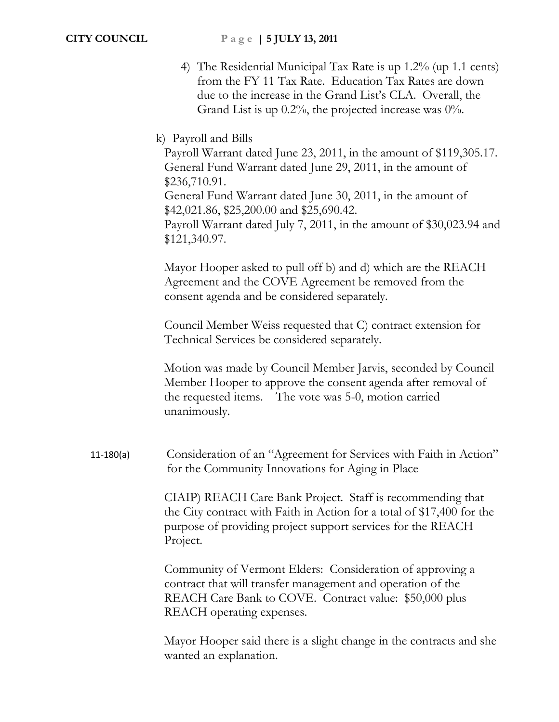4) The Residential Municipal Tax Rate is up 1.2% (up 1.1 cents) from the FY 11 Tax Rate. Education Tax Rates are down due to the increase in the Grand List's CLA. Overall, the Grand List is up  $0.2\%$ , the projected increase was  $0\%$ .

## k) Payroll and Bills

Payroll Warrant dated June 23, 2011, in the amount of \$119,305.17. General Fund Warrant dated June 29, 2011, in the amount of \$236,710.91. General Fund Warrant dated June 30, 2011, in the amount of \$42,021.86, \$25,200.00 and \$25,690.42. Payroll Warrant dated July 7, 2011, in the amount of \$30,023.94 and \$121,340.97.

Mayor Hooper asked to pull off b) and d) which are the REACH Agreement and the COVE Agreement be removed from the consent agenda and be considered separately.

Council Member Weiss requested that C) contract extension for Technical Services be considered separately.

Motion was made by Council Member Jarvis, seconded by Council Member Hooper to approve the consent agenda after removal of the requested items. The vote was 5-0, motion carried unanimously.

11-180(a) Consideration of an "Agreement for Services with Faith in Action" for the Community Innovations for Aging in Place

> CIAIP) REACH Care Bank Project. Staff is recommending that the City contract with Faith in Action for a total of \$17,400 for the purpose of providing project support services for the REACH Project.

Community of Vermont Elders: Consideration of approving a contract that will transfer management and operation of the REACH Care Bank to COVE. Contract value: \$50,000 plus REACH operating expenses.

Mayor Hooper said there is a slight change in the contracts and she wanted an explanation.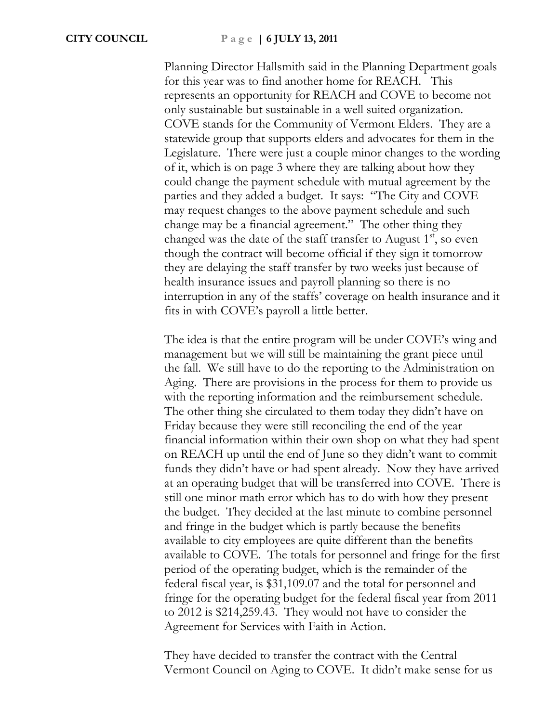Planning Director Hallsmith said in the Planning Department goals for this year was to find another home for REACH. This represents an opportunity for REACH and COVE to become not only sustainable but sustainable in a well suited organization. COVE stands for the Community of Vermont Elders. They are a statewide group that supports elders and advocates for them in the Legislature. There were just a couple minor changes to the wording of it, which is on page 3 where they are talking about how they could change the payment schedule with mutual agreement by the parties and they added a budget. It says: "The City and COVE may request changes to the above payment schedule and such change may be a financial agreement." The other thing they changed was the date of the staff transfer to August  $1<sup>st</sup>$ , so even though the contract will become official if they sign it tomorrow they are delaying the staff transfer by two weeks just because of health insurance issues and payroll planning so there is no interruption in any of the staffs' coverage on health insurance and it fits in with COVE's payroll a little better.

The idea is that the entire program will be under COVE's wing and management but we will still be maintaining the grant piece until the fall. We still have to do the reporting to the Administration on Aging. There are provisions in the process for them to provide us with the reporting information and the reimbursement schedule. The other thing she circulated to them today they didn't have on Friday because they were still reconciling the end of the year financial information within their own shop on what they had spent on REACH up until the end of June so they didn't want to commit funds they didn't have or had spent already. Now they have arrived at an operating budget that will be transferred into COVE. There is still one minor math error which has to do with how they present the budget. They decided at the last minute to combine personnel and fringe in the budget which is partly because the benefits available to city employees are quite different than the benefits available to COVE. The totals for personnel and fringe for the first period of the operating budget, which is the remainder of the federal fiscal year, is \$31,109.07 and the total for personnel and fringe for the operating budget for the federal fiscal year from 2011 to 2012 is \$214,259.43. They would not have to consider the Agreement for Services with Faith in Action.

They have decided to transfer the contract with the Central Vermont Council on Aging to COVE. It didn't make sense for us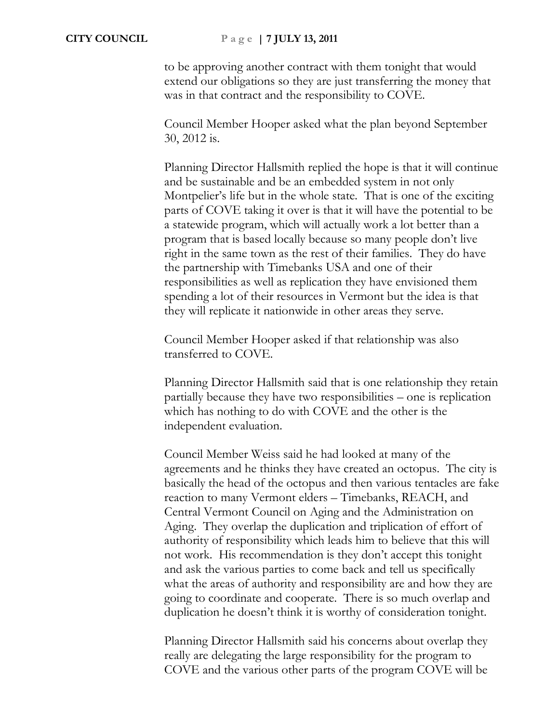to be approving another contract with them tonight that would extend our obligations so they are just transferring the money that was in that contract and the responsibility to COVE.

Council Member Hooper asked what the plan beyond September 30, 2012 is.

Planning Director Hallsmith replied the hope is that it will continue and be sustainable and be an embedded system in not only Montpelier's life but in the whole state. That is one of the exciting parts of COVE taking it over is that it will have the potential to be a statewide program, which will actually work a lot better than a program that is based locally because so many people don't live right in the same town as the rest of their families. They do have the partnership with Timebanks USA and one of their responsibilities as well as replication they have envisioned them spending a lot of their resources in Vermont but the idea is that they will replicate it nationwide in other areas they serve.

Council Member Hooper asked if that relationship was also transferred to COVE.

Planning Director Hallsmith said that is one relationship they retain partially because they have two responsibilities – one is replication which has nothing to do with COVE and the other is the independent evaluation.

Council Member Weiss said he had looked at many of the agreements and he thinks they have created an octopus. The city is basically the head of the octopus and then various tentacles are fake reaction to many Vermont elders – Timebanks, REACH, and Central Vermont Council on Aging and the Administration on Aging. They overlap the duplication and triplication of effort of authority of responsibility which leads him to believe that this will not work. His recommendation is they don't accept this tonight and ask the various parties to come back and tell us specifically what the areas of authority and responsibility are and how they are going to coordinate and cooperate. There is so much overlap and duplication he doesn't think it is worthy of consideration tonight.

Planning Director Hallsmith said his concerns about overlap they really are delegating the large responsibility for the program to COVE and the various other parts of the program COVE will be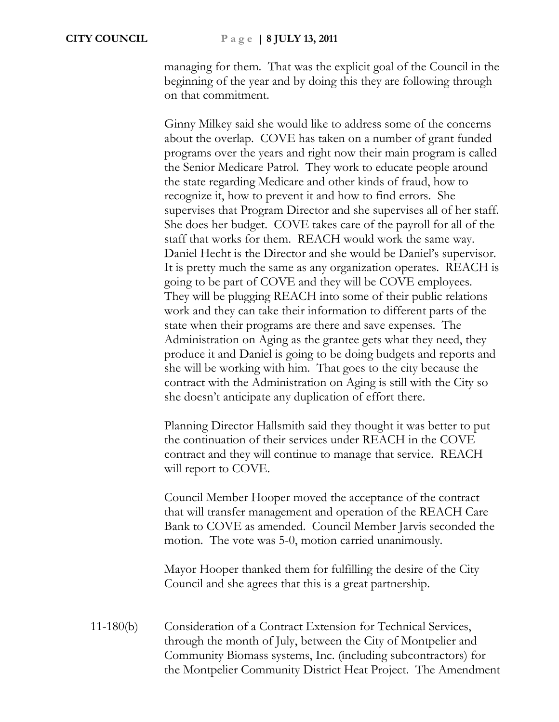managing for them. That was the explicit goal of the Council in the beginning of the year and by doing this they are following through on that commitment.

Ginny Milkey said she would like to address some of the concerns about the overlap. COVE has taken on a number of grant funded programs over the years and right now their main program is called the Senior Medicare Patrol. They work to educate people around the state regarding Medicare and other kinds of fraud, how to recognize it, how to prevent it and how to find errors. She supervises that Program Director and she supervises all of her staff. She does her budget. COVE takes care of the payroll for all of the staff that works for them. REACH would work the same way. Daniel Hecht is the Director and she would be Daniel's supervisor. It is pretty much the same as any organization operates. REACH is going to be part of COVE and they will be COVE employees. They will be plugging REACH into some of their public relations work and they can take their information to different parts of the state when their programs are there and save expenses. The Administration on Aging as the grantee gets what they need, they produce it and Daniel is going to be doing budgets and reports and she will be working with him. That goes to the city because the contract with the Administration on Aging is still with the City so she doesn't anticipate any duplication of effort there.

Planning Director Hallsmith said they thought it was better to put the continuation of their services under REACH in the COVE contract and they will continue to manage that service. REACH will report to COVE.

Council Member Hooper moved the acceptance of the contract that will transfer management and operation of the REACH Care Bank to COVE as amended. Council Member Jarvis seconded the motion. The vote was 5-0, motion carried unanimously.

Mayor Hooper thanked them for fulfilling the desire of the City Council and she agrees that this is a great partnership.

11-180(b) Consideration of a Contract Extension for Technical Services, through the month of July, between the City of Montpelier and Community Biomass systems, Inc. (including subcontractors) for the Montpelier Community District Heat Project. The Amendment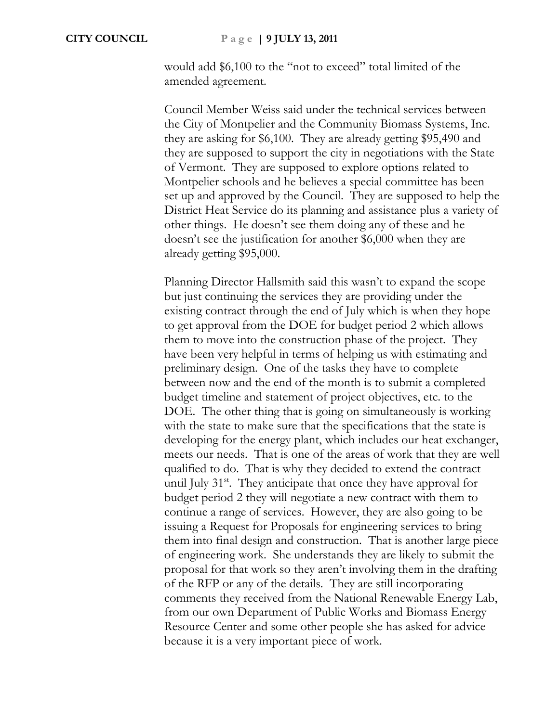would add \$6,100 to the "not to exceed" total limited of the amended agreement.

Council Member Weiss said under the technical services between the City of Montpelier and the Community Biomass Systems, Inc. they are asking for \$6,100. They are already getting \$95,490 and they are supposed to support the city in negotiations with the State of Vermont. They are supposed to explore options related to Montpelier schools and he believes a special committee has been set up and approved by the Council. They are supposed to help the District Heat Service do its planning and assistance plus a variety of other things. He doesn't see them doing any of these and he doesn't see the justification for another \$6,000 when they are already getting \$95,000.

Planning Director Hallsmith said this wasn't to expand the scope but just continuing the services they are providing under the existing contract through the end of July which is when they hope to get approval from the DOE for budget period 2 which allows them to move into the construction phase of the project. They have been very helpful in terms of helping us with estimating and preliminary design. One of the tasks they have to complete between now and the end of the month is to submit a completed budget timeline and statement of project objectives, etc. to the DOE. The other thing that is going on simultaneously is working with the state to make sure that the specifications that the state is developing for the energy plant, which includes our heat exchanger, meets our needs. That is one of the areas of work that they are well qualified to do. That is why they decided to extend the contract until July  $31<sup>st</sup>$ . They anticipate that once they have approval for budget period 2 they will negotiate a new contract with them to continue a range of services. However, they are also going to be issuing a Request for Proposals for engineering services to bring them into final design and construction. That is another large piece of engineering work. She understands they are likely to submit the proposal for that work so they aren't involving them in the drafting of the RFP or any of the details. They are still incorporating comments they received from the National Renewable Energy Lab, from our own Department of Public Works and Biomass Energy Resource Center and some other people she has asked for advice because it is a very important piece of work.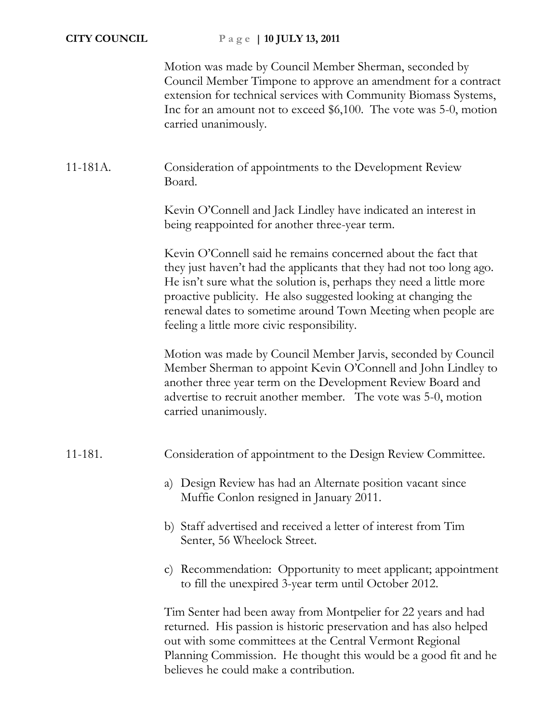Motion was made by Council Member Sherman, seconded by Council Member Timpone to approve an amendment for a contract extension for technical services with Community Biomass Systems, Inc for an amount not to exceed \$6,100. The vote was 5-0, motion carried unanimously.

# 11-181A. Consideration of appointments to the Development Review Board.

Kevin O'Connell and Jack Lindley have indicated an interest in being reappointed for another three-year term.

Kevin O'Connell said he remains concerned about the fact that they just haven't had the applicants that they had not too long ago. He isn't sure what the solution is, perhaps they need a little more proactive publicity. He also suggested looking at changing the renewal dates to sometime around Town Meeting when people are feeling a little more civic responsibility.

Motion was made by Council Member Jarvis, seconded by Council Member Sherman to appoint Kevin O'Connell and John Lindley to another three year term on the Development Review Board and advertise to recruit another member. The vote was 5-0, motion carried unanimously.

# 11-181. Consideration of appointment to the Design Review Committee.

- a) Design Review has had an Alternate position vacant since Muffie Conlon resigned in January 2011.
- b) Staff advertised and received a letter of interest from Tim Senter, 56 Wheelock Street.
- c) Recommendation: Opportunity to meet applicant; appointment to fill the unexpired 3-year term until October 2012.

Tim Senter had been away from Montpelier for 22 years and had returned. His passion is historic preservation and has also helped out with some committees at the Central Vermont Regional Planning Commission. He thought this would be a good fit and he believes he could make a contribution.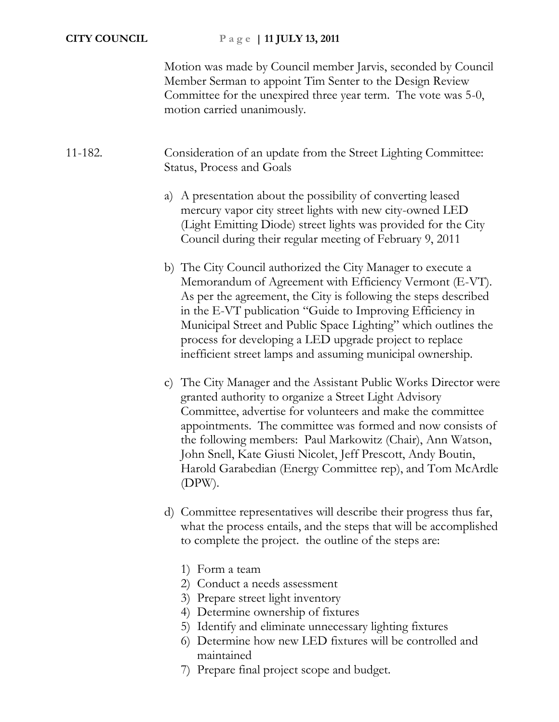Motion was made by Council member Jarvis, seconded by Council Member Serman to appoint Tim Senter to the Design Review Committee for the unexpired three year term. The vote was 5-0, motion carried unanimously.

# 11-182. Consideration of an update from the Street Lighting Committee: Status, Process and Goals

- a) A presentation about the possibility of converting leased mercury vapor city street lights with new city-owned LED (Light Emitting Diode) street lights was provided for the City Council during their regular meeting of February 9, 2011
- b) The City Council authorized the City Manager to execute a Memorandum of Agreement with Efficiency Vermont (E-VT). As per the agreement, the City is following the steps described in the E-VT publication "Guide to Improving Efficiency in Municipal Street and Public Space Lighting" which outlines the process for developing a LED upgrade project to replace inefficient street lamps and assuming municipal ownership.
- c) The City Manager and the Assistant Public Works Director were granted authority to organize a Street Light Advisory Committee, advertise for volunteers and make the committee appointments. The committee was formed and now consists of the following members: Paul Markowitz (Chair), Ann Watson, John Snell, Kate Giusti Nicolet, Jeff Prescott, Andy Boutin, Harold Garabedian (Energy Committee rep), and Tom McArdle (DPW).
- d) Committee representatives will describe their progress thus far, what the process entails, and the steps that will be accomplished to complete the project. the outline of the steps are:
	- 1) Form a team
	- 2) Conduct a needs assessment
	- 3) Prepare street light inventory
	- 4) Determine ownership of fixtures
	- 5) Identify and eliminate unnecessary lighting fixtures
	- 6) Determine how new LED fixtures will be controlled and maintained
	- 7) Prepare final project scope and budget.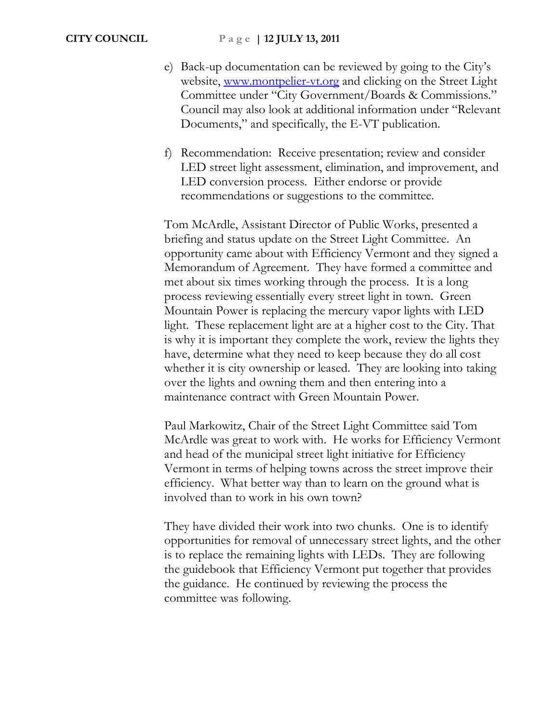- e) Back-up documentation can be reviewed by going to the City's website, [www.montpelier-vt.org](http://www.montpelier-vt.org/) and clicking on the Street Light Committee under "City Government/Boards & Commissions." Council may also look at additional information under "Relevant Documents," and specifically, the E-VT publication.
- f) Recommendation: Receive presentation; review and consider LED street light assessment, elimination, and improvement, and LED conversion process. Either endorse or provide recommendations or suggestions to the committee.

Tom McArdle, Assistant Director of Public Works, presented a briefing and status update on the Street Light Committee. An opportunity came about with Efficiency Vermont and they signed a Memorandum of Agreement. They have formed a committee and met about six times working through the process. It is a long process reviewing essentially every street light in town. Green Mountain Power is replacing the mercury vapor lights with LED light. These replacement light are at a higher cost to the City. That is why it is important they complete the work, review the lights they have, determine what they need to keep because they do all cost whether it is city ownership or leased. They are looking into taking over the lights and owning them and then entering into a maintenance contract with Green Mountain Power.

Paul Markowitz, Chair of the Street Light Committee said Tom McArdle was great to work with. He works for Efficiency Vermont and head of the municipal street light initiative for Efficiency Vermont in terms of helping towns across the street improve their efficiency. What better way than to learn on the ground what is involved than to work in his own town?

They have divided their work into two chunks. One is to identify opportunities for removal of unnecessary street lights, and the other is to replace the remaining lights with LEDs. They are following the guidebook that Efficiency Vermont put together that provides the guidance. He continued by reviewing the process the committee was following.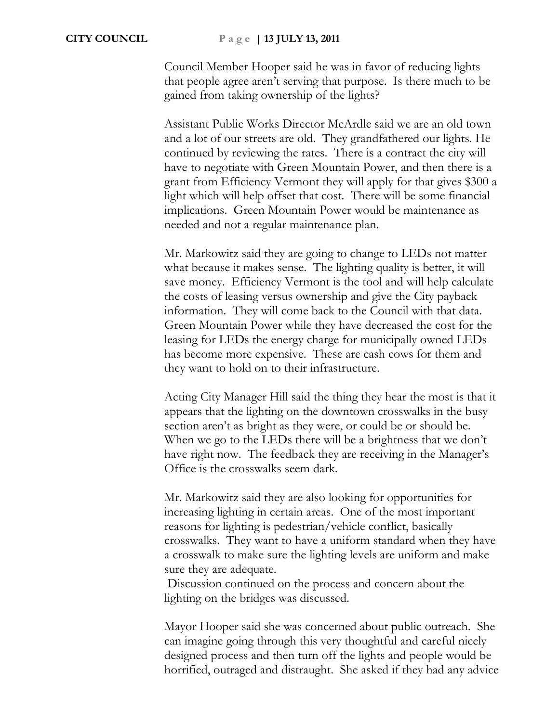Council Member Hooper said he was in favor of reducing lights that people agree aren't serving that purpose. Is there much to be gained from taking ownership of the lights?

Assistant Public Works Director McArdle said we are an old town and a lot of our streets are old. They grandfathered our lights. He continued by reviewing the rates. There is a contract the city will have to negotiate with Green Mountain Power, and then there is a grant from Efficiency Vermont they will apply for that gives \$300 a light which will help offset that cost. There will be some financial implications. Green Mountain Power would be maintenance as needed and not a regular maintenance plan.

Mr. Markowitz said they are going to change to LEDs not matter what because it makes sense. The lighting quality is better, it will save money. Efficiency Vermont is the tool and will help calculate the costs of leasing versus ownership and give the City payback information. They will come back to the Council with that data. Green Mountain Power while they have decreased the cost for the leasing for LEDs the energy charge for municipally owned LEDs has become more expensive. These are cash cows for them and they want to hold on to their infrastructure.

Acting City Manager Hill said the thing they hear the most is that it appears that the lighting on the downtown crosswalks in the busy section aren't as bright as they were, or could be or should be. When we go to the LEDs there will be a brightness that we don't have right now. The feedback they are receiving in the Manager's Office is the crosswalks seem dark.

Mr. Markowitz said they are also looking for opportunities for increasing lighting in certain areas. One of the most important reasons for lighting is pedestrian/vehicle conflict, basically crosswalks. They want to have a uniform standard when they have a crosswalk to make sure the lighting levels are uniform and make sure they are adequate.

Discussion continued on the process and concern about the lighting on the bridges was discussed.

Mayor Hooper said she was concerned about public outreach. She can imagine going through this very thoughtful and careful nicely designed process and then turn off the lights and people would be horrified, outraged and distraught. She asked if they had any advice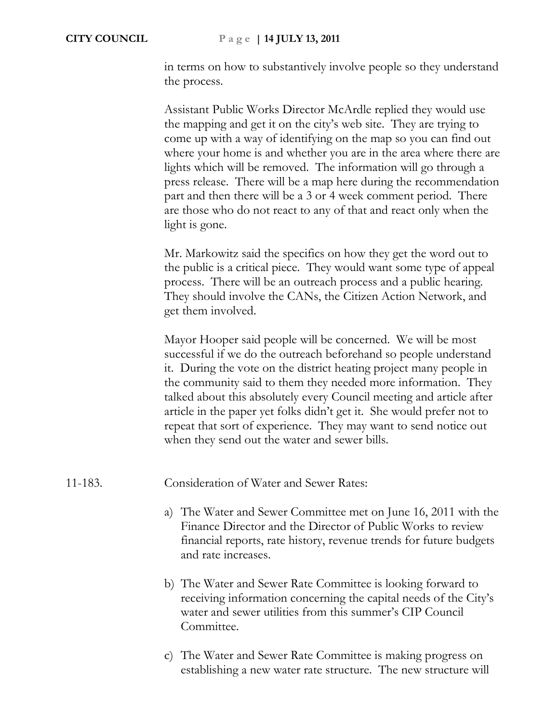in terms on how to substantively involve people so they understand the process.

Assistant Public Works Director McArdle replied they would use the mapping and get it on the city's web site. They are trying to come up with a way of identifying on the map so you can find out where your home is and whether you are in the area where there are lights which will be removed. The information will go through a press release. There will be a map here during the recommendation part and then there will be a 3 or 4 week comment period. There are those who do not react to any of that and react only when the light is gone.

Mr. Markowitz said the specifics on how they get the word out to the public is a critical piece. They would want some type of appeal process. There will be an outreach process and a public hearing. They should involve the CANs, the Citizen Action Network, and get them involved.

Mayor Hooper said people will be concerned. We will be most successful if we do the outreach beforehand so people understand it. During the vote on the district heating project many people in the community said to them they needed more information. They talked about this absolutely every Council meeting and article after article in the paper yet folks didn't get it. She would prefer not to repeat that sort of experience. They may want to send notice out when they send out the water and sewer bills.

### 11-183. Consideration of Water and Sewer Rates:

- a) The Water and Sewer Committee met on June 16, 2011 with the Finance Director and the Director of Public Works to review financial reports, rate history, revenue trends for future budgets and rate increases.
- b) The Water and Sewer Rate Committee is looking forward to receiving information concerning the capital needs of the City's water and sewer utilities from this summer's CIP Council Committee.
- c) The Water and Sewer Rate Committee is making progress on establishing a new water rate structure. The new structure will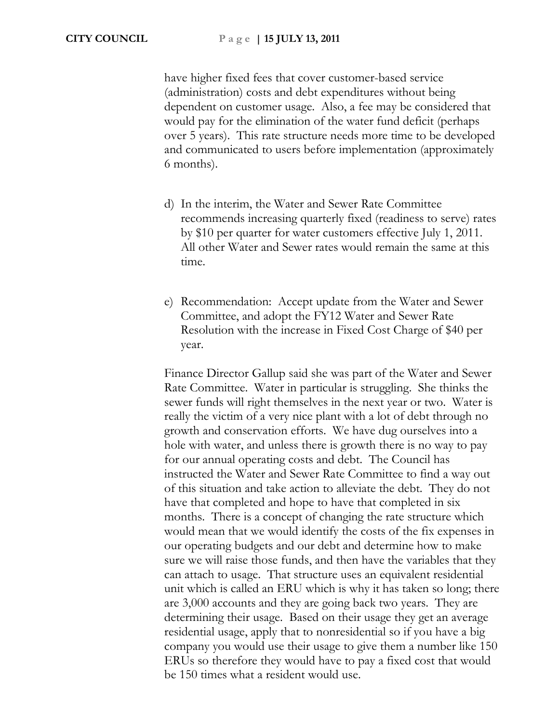have higher fixed fees that cover customer-based service (administration) costs and debt expenditures without being dependent on customer usage. Also, a fee may be considered that would pay for the elimination of the water fund deficit (perhaps over 5 years). This rate structure needs more time to be developed and communicated to users before implementation (approximately 6 months).

- d) In the interim, the Water and Sewer Rate Committee recommends increasing quarterly fixed (readiness to serve) rates by \$10 per quarter for water customers effective July 1, 2011. All other Water and Sewer rates would remain the same at this time.
- e) Recommendation: Accept update from the Water and Sewer Committee, and adopt the FY12 Water and Sewer Rate Resolution with the increase in Fixed Cost Charge of \$40 per year.

Finance Director Gallup said she was part of the Water and Sewer Rate Committee. Water in particular is struggling. She thinks the sewer funds will right themselves in the next year or two. Water is really the victim of a very nice plant with a lot of debt through no growth and conservation efforts. We have dug ourselves into a hole with water, and unless there is growth there is no way to pay for our annual operating costs and debt. The Council has instructed the Water and Sewer Rate Committee to find a way out of this situation and take action to alleviate the debt. They do not have that completed and hope to have that completed in six months. There is a concept of changing the rate structure which would mean that we would identify the costs of the fix expenses in our operating budgets and our debt and determine how to make sure we will raise those funds, and then have the variables that they can attach to usage. That structure uses an equivalent residential unit which is called an ERU which is why it has taken so long; there are 3,000 accounts and they are going back two years. They are determining their usage. Based on their usage they get an average residential usage, apply that to nonresidential so if you have a big company you would use their usage to give them a number like 150 ERUs so therefore they would have to pay a fixed cost that would be 150 times what a resident would use.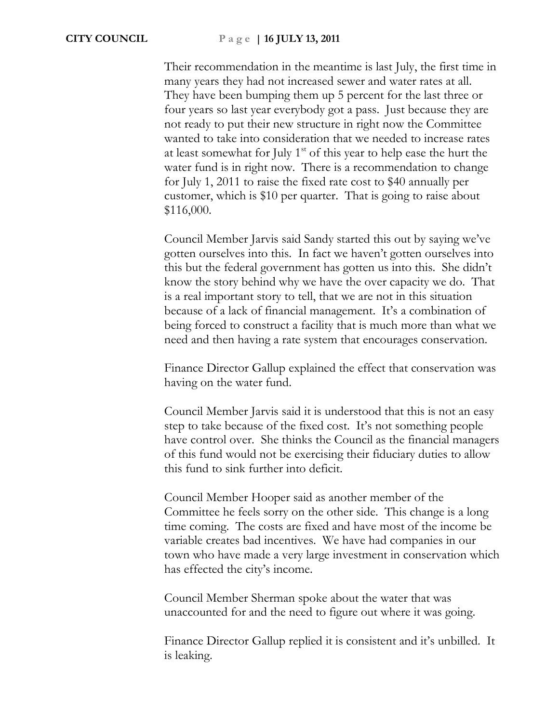Their recommendation in the meantime is last July, the first time in many years they had not increased sewer and water rates at all. They have been bumping them up 5 percent for the last three or four years so last year everybody got a pass. Just because they are not ready to put their new structure in right now the Committee wanted to take into consideration that we needed to increase rates at least somewhat for July  $1<sup>st</sup>$  of this year to help ease the hurt the water fund is in right now. There is a recommendation to change for July 1, 2011 to raise the fixed rate cost to \$40 annually per customer, which is \$10 per quarter. That is going to raise about \$116,000.

Council Member Jarvis said Sandy started this out by saying we've gotten ourselves into this. In fact we haven't gotten ourselves into this but the federal government has gotten us into this. She didn't know the story behind why we have the over capacity we do. That is a real important story to tell, that we are not in this situation because of a lack of financial management. It's a combination of being forced to construct a facility that is much more than what we need and then having a rate system that encourages conservation.

Finance Director Gallup explained the effect that conservation was having on the water fund.

Council Member Jarvis said it is understood that this is not an easy step to take because of the fixed cost. It's not something people have control over. She thinks the Council as the financial managers of this fund would not be exercising their fiduciary duties to allow this fund to sink further into deficit.

Council Member Hooper said as another member of the Committee he feels sorry on the other side. This change is a long time coming. The costs are fixed and have most of the income be variable creates bad incentives. We have had companies in our town who have made a very large investment in conservation which has effected the city's income.

Council Member Sherman spoke about the water that was unaccounted for and the need to figure out where it was going.

Finance Director Gallup replied it is consistent and it's unbilled. It is leaking.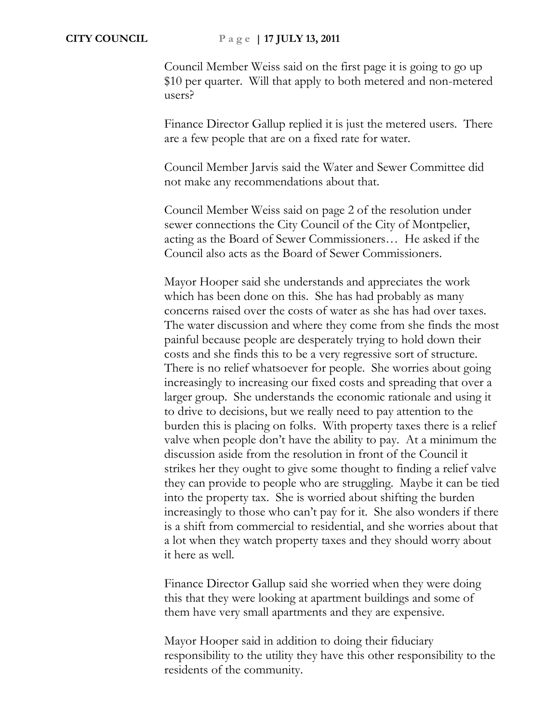Council Member Weiss said on the first page it is going to go up \$10 per quarter. Will that apply to both metered and non-metered users?

Finance Director Gallup replied it is just the metered users. There are a few people that are on a fixed rate for water.

Council Member Jarvis said the Water and Sewer Committee did not make any recommendations about that.

Council Member Weiss said on page 2 of the resolution under sewer connections the City Council of the City of Montpelier, acting as the Board of Sewer Commissioners… He asked if the Council also acts as the Board of Sewer Commissioners.

Mayor Hooper said she understands and appreciates the work which has been done on this. She has had probably as many concerns raised over the costs of water as she has had over taxes. The water discussion and where they come from she finds the most painful because people are desperately trying to hold down their costs and she finds this to be a very regressive sort of structure. There is no relief whatsoever for people. She worries about going increasingly to increasing our fixed costs and spreading that over a larger group. She understands the economic rationale and using it to drive to decisions, but we really need to pay attention to the burden this is placing on folks. With property taxes there is a relief valve when people don't have the ability to pay. At a minimum the discussion aside from the resolution in front of the Council it strikes her they ought to give some thought to finding a relief valve they can provide to people who are struggling. Maybe it can be tied into the property tax. She is worried about shifting the burden increasingly to those who can't pay for it. She also wonders if there is a shift from commercial to residential, and she worries about that a lot when they watch property taxes and they should worry about it here as well.

Finance Director Gallup said she worried when they were doing this that they were looking at apartment buildings and some of them have very small apartments and they are expensive.

Mayor Hooper said in addition to doing their fiduciary responsibility to the utility they have this other responsibility to the residents of the community.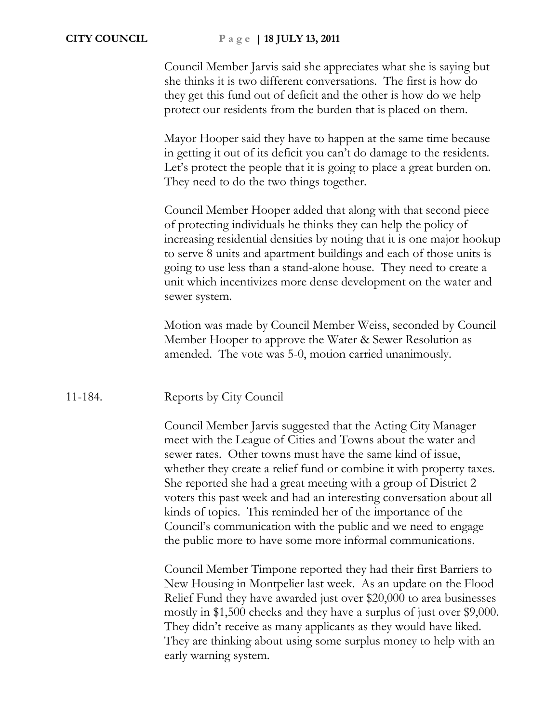### **CITY COUNCIL P a g e | 18 JULY 13, 2011**

Council Member Jarvis said she appreciates what she is saying but she thinks it is two different conversations. The first is how do they get this fund out of deficit and the other is how do we help protect our residents from the burden that is placed on them.

Mayor Hooper said they have to happen at the same time because in getting it out of its deficit you can't do damage to the residents. Let's protect the people that it is going to place a great burden on. They need to do the two things together.

Council Member Hooper added that along with that second piece of protecting individuals he thinks they can help the policy of increasing residential densities by noting that it is one major hookup to serve 8 units and apartment buildings and each of those units is going to use less than a stand-alone house. They need to create a unit which incentivizes more dense development on the water and sewer system.

Motion was made by Council Member Weiss, seconded by Council Member Hooper to approve the Water & Sewer Resolution as amended. The vote was 5-0, motion carried unanimously.

### 11-184. Reports by City Council

Council Member Jarvis suggested that the Acting City Manager meet with the League of Cities and Towns about the water and sewer rates. Other towns must have the same kind of issue, whether they create a relief fund or combine it with property taxes. She reported she had a great meeting with a group of District 2 voters this past week and had an interesting conversation about all kinds of topics. This reminded her of the importance of the Council's communication with the public and we need to engage the public more to have some more informal communications.

Council Member Timpone reported they had their first Barriers to New Housing in Montpelier last week. As an update on the Flood Relief Fund they have awarded just over \$20,000 to area businesses mostly in \$1,500 checks and they have a surplus of just over \$9,000. They didn't receive as many applicants as they would have liked. They are thinking about using some surplus money to help with an early warning system.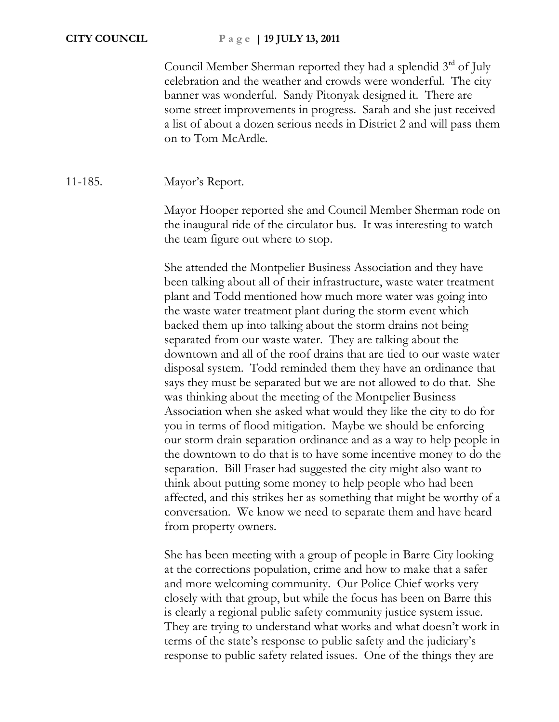Council Member Sherman reported they had a splendid 3<sup>rd</sup> of July celebration and the weather and crowds were wonderful. The city banner was wonderful. Sandy Pitonyak designed it. There are some street improvements in progress. Sarah and she just received a list of about a dozen serious needs in District 2 and will pass them on to Tom McArdle.

## 11-185. Mayor's Report.

Mayor Hooper reported she and Council Member Sherman rode on the inaugural ride of the circulator bus. It was interesting to watch the team figure out where to stop.

She attended the Montpelier Business Association and they have been talking about all of their infrastructure, waste water treatment plant and Todd mentioned how much more water was going into the waste water treatment plant during the storm event which backed them up into talking about the storm drains not being separated from our waste water. They are talking about the downtown and all of the roof drains that are tied to our waste water disposal system. Todd reminded them they have an ordinance that says they must be separated but we are not allowed to do that. She was thinking about the meeting of the Montpelier Business Association when she asked what would they like the city to do for you in terms of flood mitigation. Maybe we should be enforcing our storm drain separation ordinance and as a way to help people in the downtown to do that is to have some incentive money to do the separation. Bill Fraser had suggested the city might also want to think about putting some money to help people who had been affected, and this strikes her as something that might be worthy of a conversation. We know we need to separate them and have heard from property owners.

She has been meeting with a group of people in Barre City looking at the corrections population, crime and how to make that a safer and more welcoming community. Our Police Chief works very closely with that group, but while the focus has been on Barre this is clearly a regional public safety community justice system issue. They are trying to understand what works and what doesn't work in terms of the state's response to public safety and the judiciary's response to public safety related issues. One of the things they are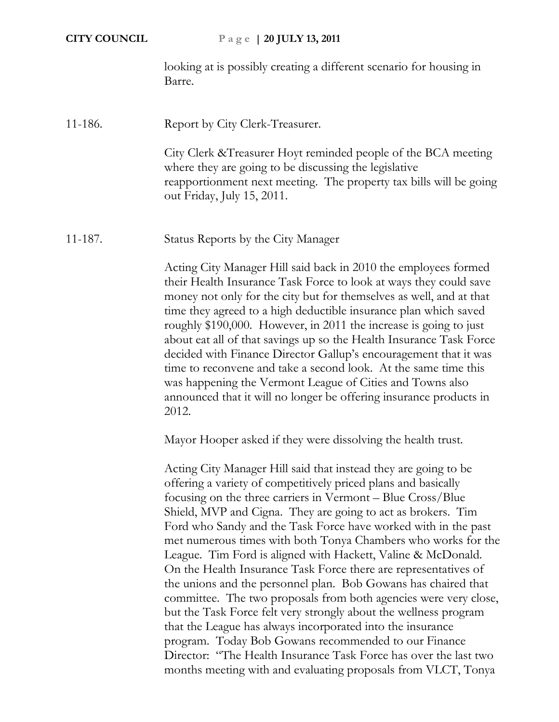looking at is possibly creating a different scenario for housing in Barre.

## 11-186. Report by City Clerk-Treasurer.

City Clerk &Treasurer Hoyt reminded people of the BCA meeting where they are going to be discussing the legislative reapportionment next meeting. The property tax bills will be going out Friday, July 15, 2011.

11-187. Status Reports by the City Manager

Acting City Manager Hill said back in 2010 the employees formed their Health Insurance Task Force to look at ways they could save money not only for the city but for themselves as well, and at that time they agreed to a high deductible insurance plan which saved roughly \$190,000. However, in 2011 the increase is going to just about eat all of that savings up so the Health Insurance Task Force decided with Finance Director Gallup's encouragement that it was time to reconvene and take a second look. At the same time this was happening the Vermont League of Cities and Towns also announced that it will no longer be offering insurance products in 2012.

Mayor Hooper asked if they were dissolving the health trust.

Acting City Manager Hill said that instead they are going to be offering a variety of competitively priced plans and basically focusing on the three carriers in Vermont – Blue Cross/Blue Shield, MVP and Cigna. They are going to act as brokers. Tim Ford who Sandy and the Task Force have worked with in the past met numerous times with both Tonya Chambers who works for the League. Tim Ford is aligned with Hackett, Valine & McDonald. On the Health Insurance Task Force there are representatives of the unions and the personnel plan. Bob Gowans has chaired that committee. The two proposals from both agencies were very close, but the Task Force felt very strongly about the wellness program that the League has always incorporated into the insurance program. Today Bob Gowans recommended to our Finance Director: "The Health Insurance Task Force has over the last two months meeting with and evaluating proposals from VLCT, Tonya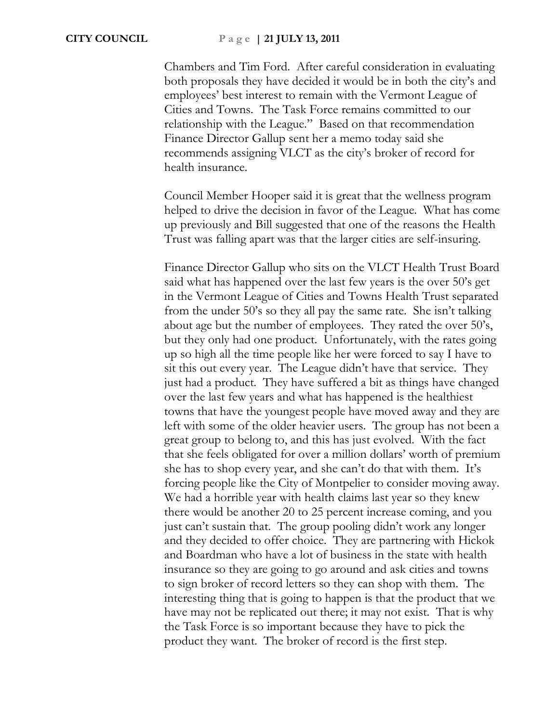Chambers and Tim Ford. After careful consideration in evaluating both proposals they have decided it would be in both the city's and employees' best interest to remain with the Vermont League of Cities and Towns. The Task Force remains committed to our relationship with the League." Based on that recommendation Finance Director Gallup sent her a memo today said she recommends assigning VLCT as the city's broker of record for health insurance.

Council Member Hooper said it is great that the wellness program helped to drive the decision in favor of the League. What has come up previously and Bill suggested that one of the reasons the Health Trust was falling apart was that the larger cities are self-insuring.

Finance Director Gallup who sits on the VLCT Health Trust Board said what has happened over the last few years is the over 50's get in the Vermont League of Cities and Towns Health Trust separated from the under 50's so they all pay the same rate. She isn't talking about age but the number of employees. They rated the over 50's, but they only had one product. Unfortunately, with the rates going up so high all the time people like her were forced to say I have to sit this out every year. The League didn't have that service. They just had a product. They have suffered a bit as things have changed over the last few years and what has happened is the healthiest towns that have the youngest people have moved away and they are left with some of the older heavier users. The group has not been a great group to belong to, and this has just evolved. With the fact that she feels obligated for over a million dollars' worth of premium she has to shop every year, and she can't do that with them. It's forcing people like the City of Montpelier to consider moving away. We had a horrible year with health claims last year so they knew there would be another 20 to 25 percent increase coming, and you just can't sustain that. The group pooling didn't work any longer and they decided to offer choice. They are partnering with Hickok and Boardman who have a lot of business in the state with health insurance so they are going to go around and ask cities and towns to sign broker of record letters so they can shop with them. The interesting thing that is going to happen is that the product that we have may not be replicated out there; it may not exist. That is why the Task Force is so important because they have to pick the product they want. The broker of record is the first step.